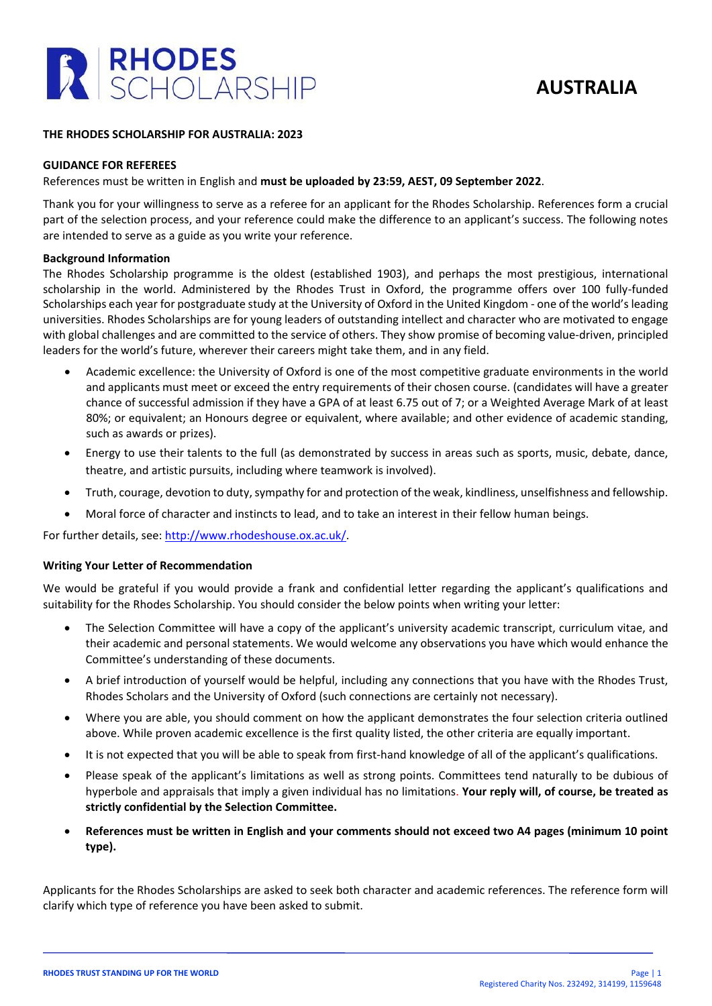



### **THE RHODES SCHOLARSHIP FOR AUSTRALIA: 2023**

#### **GUIDANCE FOR REFEREES**

## References must be written in English and **must be uploaded by 23:59, AEST, 09 September 2022**.

Thank you for your willingness to serve as a referee for an applicant for the Rhodes Scholarship. References form a crucial part of the selection process, and your reference could make the difference to an applicant's success. The following notes are intended to serve as a guide as you write your reference.

#### **Background Information**

The Rhodes Scholarship programme is the oldest (established 1903), and perhaps the most prestigious, international scholarship in the world. Administered by the Rhodes Trust in Oxford, the programme offers over 100 fully-funded Scholarships each year for postgraduate study at the University of Oxford in the United Kingdom - one of the world's leading universities. Rhodes Scholarships are for young leaders of outstanding intellect and character who are motivated to engage with global challenges and are committed to the service of others. They show promise of becoming value-driven, principled leaders for the world's future, wherever their careers might take them, and in any field.

- Academic excellence: the University of Oxford is one of the most competitive graduate environments in the world and applicants must meet or exceed the entry requirements of their chosen course. (candidates will have a greater chance of successful admission if they have a GPA of at least 6.75 out of 7; or a Weighted Average Mark of at least 80%; or equivalent; an Honours degree or equivalent, where available; and other evidence of academic standing, such as awards or prizes).
- Energy to use their talents to the full (as demonstrated by success in areas such as sports, music, debate, dance, theatre, and artistic pursuits, including where teamwork is involved).
- Truth, courage, devotion to duty, sympathy for and protection of the weak, kindliness, unselfishness and fellowship.
- Moral force of character and instincts to lead, and to take an interest in their fellow human beings.

For further details, see: [http://www.rhodeshouse.ox.ac.uk/.](http://www.rhodeshouse.ox.ac.uk/)

#### **Writing Your Letter of Recommendation**

We would be grateful if you would provide a frank and confidential letter regarding the applicant's qualifications and suitability for the Rhodes Scholarship. You should consider the below points when writing your letter:

- The Selection Committee will have a copy of the applicant's university academic transcript, curriculum vitae, and their academic and personal statements. We would welcome any observations you have which would enhance the Committee's understanding of these documents.
- A brief introduction of yourself would be helpful, including any connections that you have with the Rhodes Trust, Rhodes Scholars and the University of Oxford (such connections are certainly not necessary).
- Where you are able, you should comment on how the applicant demonstrates the four selection criteria outlined above. While proven academic excellence is the first quality listed, the other criteria are equally important.
- It is not expected that you will be able to speak from first-hand knowledge of all of the applicant's qualifications.
- Please speak of the applicant's limitations as well as strong points. Committees tend naturally to be dubious of hyperbole and appraisals that imply a given individual has no limitations. **Your reply will, of course, be treated as strictly confidential by the Selection Committee.**
- **References must be written in English and your comments should not exceed two A4 pages (minimum 10 point type).**

Applicants for the Rhodes Scholarships are asked to seek both character and academic references. The reference form will clarify which type of reference you have been asked to submit.